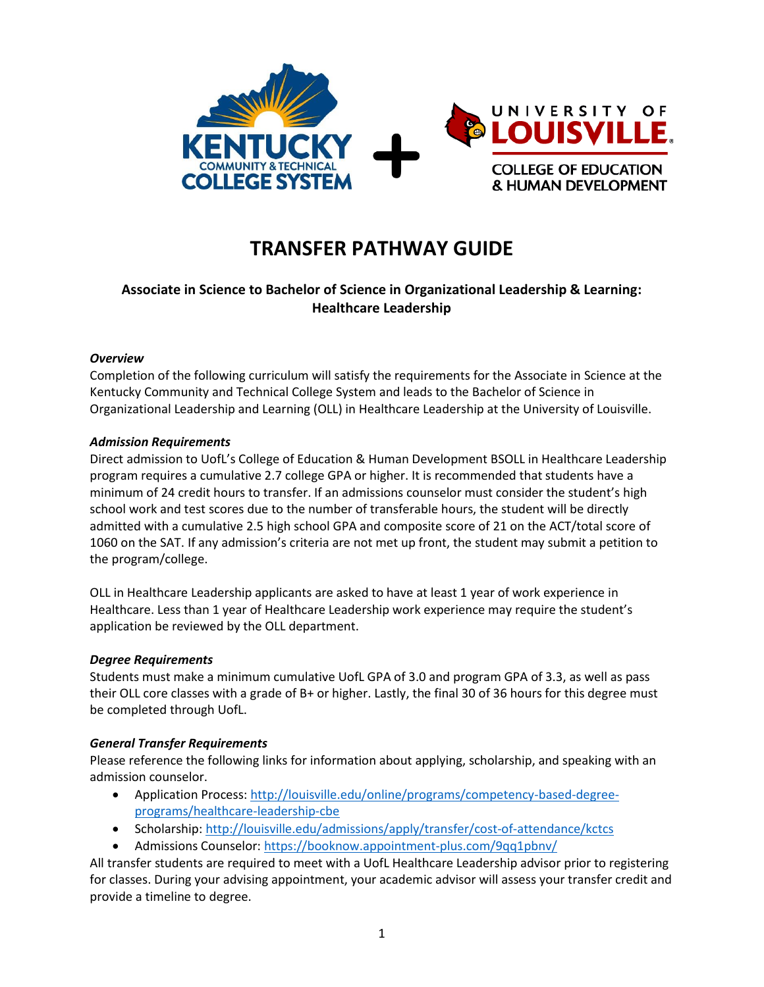

# **TRANSFER PATHWAY GUIDE**

## **Associate in Science to Bachelor of Science in Organizational Leadership & Learning: Healthcare Leadership**

#### *Overview*

Completion of the following curriculum will satisfy the requirements for the Associate in Science at the Kentucky Community and Technical College System and leads to the Bachelor of Science in Organizational Leadership and Learning (OLL) in Healthcare Leadership at the University of Louisville.

### *Admission Requirements*

Direct admission to UofL's College of Education & Human Development BSOLL in Healthcare Leadership program requires a cumulative 2.7 college GPA or higher. It is recommended that students have a minimum of 24 credit hours to transfer. If an admissions counselor must consider the student's high school work and test scores due to the number of transferable hours, the student will be directly admitted with a cumulative 2.5 high school GPA and composite score of 21 on the ACT/total score of 1060 on the SAT. If any admission's criteria are not met up front, the student may submit a petition to the program/college.

OLL in Healthcare Leadership applicants are asked to have at least 1 year of work experience in Healthcare. Less than 1 year of Healthcare Leadership work experience may require the student's application be reviewed by the OLL department.

#### *Degree Requirements*

Students must make a minimum cumulative UofL GPA of 3.0 and program GPA of 3.3, as well as pass their OLL core classes with a grade of B+ or higher. Lastly, the final 30 of 36 hours for this degree must be completed through UofL.

#### *General Transfer Requirements*

Please reference the following links for information about applying, scholarship, and speaking with an admission counselor.

- Application Process[: http://louisville.edu/online/programs/competency-based-degree](http://louisville.edu/online/programs/competency-based-degree-programs/healthcare-leadership-cbe)[programs/healthcare-leadership-cbe](http://louisville.edu/online/programs/competency-based-degree-programs/healthcare-leadership-cbe)
- Scholarship[: http://louisville.edu/admissions/apply/transfer/cost-of-attendance/kctcs](http://louisville.edu/admissions/apply/transfer/cost-of-attendance/kctcs)
- Admissions Counselor[: https://booknow.appointment-plus.com/9qq1pbnv/](https://booknow.appointment-plus.com/9qq1pbnv/)

All transfer students are required to meet with a UofL Healthcare Leadership advisor prior to registering for classes. During your advising appointment, your academic advisor will assess your transfer credit and provide a timeline to degree.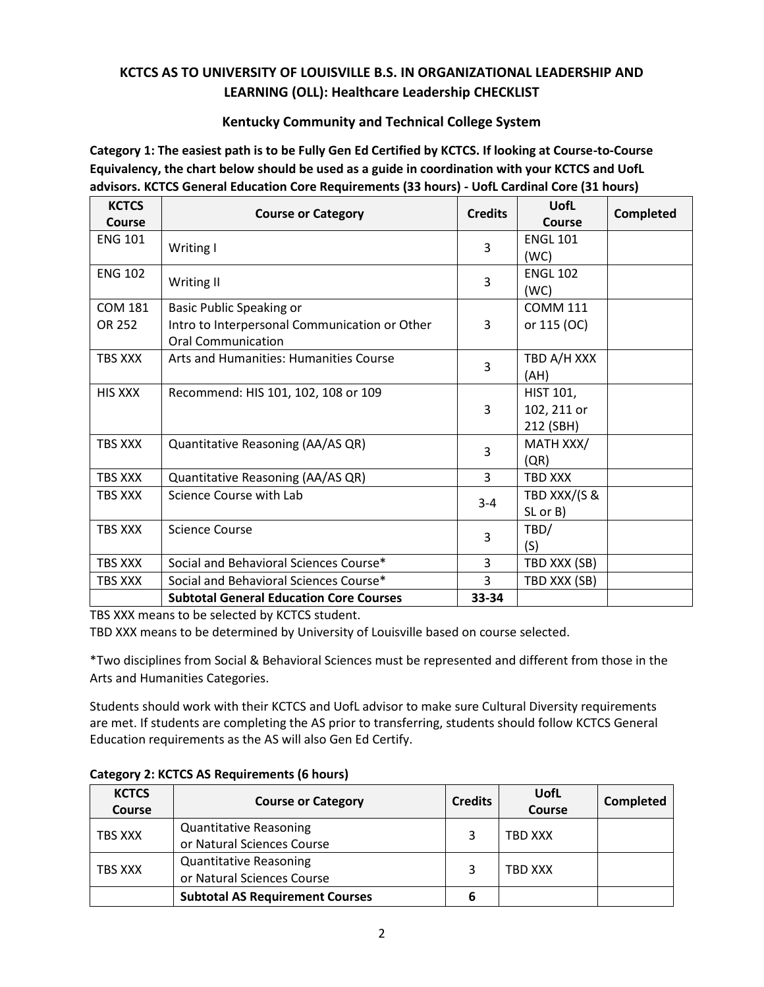# **KCTCS AS TO UNIVERSITY OF LOUISVILLE B.S. IN ORGANIZATIONAL LEADERSHIP AND LEARNING (OLL): Healthcare Leadership CHECKLIST**

### **Kentucky Community and Technical College System**

**Category 1: The easiest path is to be Fully Gen Ed Certified by KCTCS. If looking at Course-to-Course Equivalency, the chart below should be used as a guide in coordination with your KCTCS and UofL advisors. KCTCS General Education Core Requirements (33 hours) - UofL Cardinal Core (31 hours)**

| <b>KCTCS</b><br>Course   | <b>Course or Category</b>                                                                              | <b>Credits</b> | UofL<br>Course                               | <b>Completed</b> |
|--------------------------|--------------------------------------------------------------------------------------------------------|----------------|----------------------------------------------|------------------|
| <b>ENG 101</b>           | Writing I                                                                                              | 3              | <b>ENGL 101</b><br>(WC)                      |                  |
| <b>ENG 102</b>           | Writing II                                                                                             | 3              | <b>ENGL 102</b><br>(WC)                      |                  |
| <b>COM 181</b><br>OR 252 | Basic Public Speaking or<br>Intro to Interpersonal Communication or Other<br><b>Oral Communication</b> | 3              | <b>COMM 111</b><br>or 115 (OC)               |                  |
| TBS XXX                  | Arts and Humanities: Humanities Course                                                                 | 3              | TBD A/H XXX<br>(AH)                          |                  |
| <b>HIS XXX</b>           | Recommend: HIS 101, 102, 108 or 109                                                                    | 3              | <b>HIST 101,</b><br>102, 211 or<br>212 (SBH) |                  |
| TBS XXX                  | Quantitative Reasoning (AA/AS QR)                                                                      | 3              | MATH XXX/<br>(QR)                            |                  |
| TBS XXX                  | Quantitative Reasoning (AA/AS QR)                                                                      | 3              | TBD XXX                                      |                  |
| TBS XXX                  | Science Course with Lab                                                                                | $3 - 4$        | TBD XXX/(S &<br>SL or B)                     |                  |
| TBS XXX                  | <b>Science Course</b>                                                                                  | 3              | TBD/<br>(S)                                  |                  |
| TBS XXX                  | Social and Behavioral Sciences Course*                                                                 | 3              | TBD XXX (SB)                                 |                  |
| <b>TBS XXX</b>           | Social and Behavioral Sciences Course*                                                                 | 3              | TBD XXX (SB)                                 |                  |
|                          | <b>Subtotal General Education Core Courses</b>                                                         | 33-34          |                                              |                  |

TBS XXX means to be selected by KCTCS student.

TBD XXX means to be determined by University of Louisville based on course selected.

\*Two disciplines from Social & Behavioral Sciences must be represented and different from those in the Arts and Humanities Categories.

Students should work with their KCTCS and UofL advisor to make sure Cultural Diversity requirements are met. If students are completing the AS prior to transferring, students should follow KCTCS General Education requirements as the AS will also Gen Ed Certify.

| <b>KCTCS</b><br>Course | <b>Course or Category</b>              | <b>Credits</b> | UofL<br><b>Course</b> | Completed |
|------------------------|----------------------------------------|----------------|-----------------------|-----------|
| TBS XXX                | <b>Quantitative Reasoning</b>          |                | TBD XXX               |           |
|                        | or Natural Sciences Course             |                |                       |           |
| TBS XXX                | <b>Quantitative Reasoning</b>          |                | <b>TBD XXX</b>        |           |
|                        | or Natural Sciences Course             |                |                       |           |
|                        | <b>Subtotal AS Requirement Courses</b> | 6              |                       |           |

### **Category 2: KCTCS AS Requirements (6 hours)**